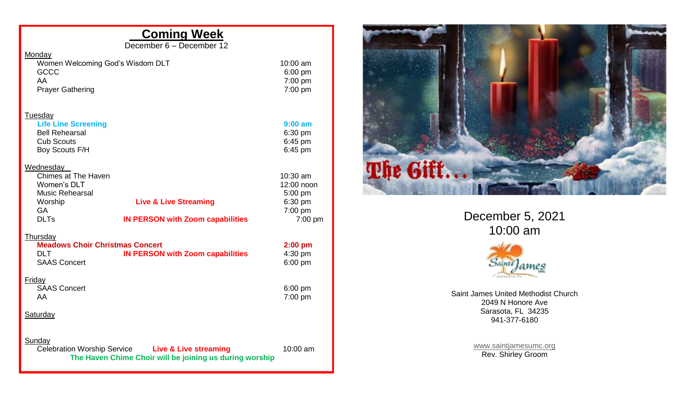## **Coming Week**

December 6 – December 12

**Monday** Women Welcoming God's Wisdom DLT 10:00 am<br>GCCC 6:00 pm GCCC 6:00 pm<br>AA 7:00 pm Prayer Gathering

7:00 pm<br>7:00 pm

**Tuesday Life Line Screening 9:00 am** Bell Rehearsal 6:30 pm

Cub Scouts<br>
Boy Scouts F/H<br>
6:45 pm<br>
6:45 pm Boy Scouts F/H

Wednesday

| Chimes at The Haven    |                                         | $10:30$ am        |
|------------------------|-----------------------------------------|-------------------|
| Women's DLT            |                                         | 12:00 noon        |
| <b>Music Rehearsal</b> |                                         | $5:00$ pm         |
| Worship                | <b>Live &amp; Live Streaming</b>        | $6:30$ pm         |
| GA                     |                                         | $7:00 \text{ pm}$ |
| <b>DLTs</b>            | <b>IN PERSON with Zoom capabilities</b> | $7:00 \text{ pm}$ |

**Thursday** 

| $2:00$ pm<br>$4:30$ pm         |
|--------------------------------|
| $6:00$ pm                      |
|                                |
| $6:00 \text{ pm}$<br>$7:00$ pm |
|                                |
|                                |
|                                |
|                                |
| $10:00$ am                     |
|                                |



December 5, 2021 10:00 am



Saint James United Methodist Church 2049 N Honore Ave Sarasota, FL 34235 941-377-6180

> [www.saintjamesumc.org](http://www.saintjamesumc.org/) Rev. Shirley Groom